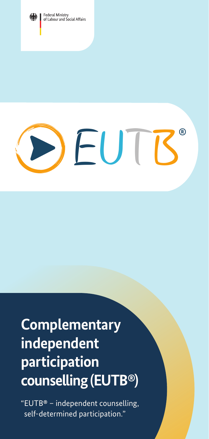



# **Complementary independent participation counselling (EUTB®)**

"EUTB**®** – independent counselling, self-determined participation."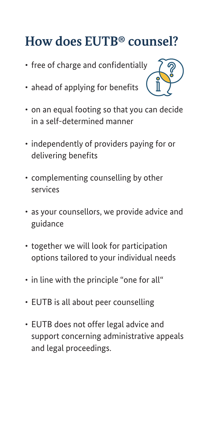### **How does EUTB® counsel?**

- free of charge and confidentially
- ahead of applying for benefits



- on an equal footing so that you can decide in a self-determined manner
- independently of providers paying for or delivering benefits
- complementing counselling by other services
- as your counsellors, we provide advice and guidance
- together we will look for participation options tailored to your individual needs
- in line with the principle "one for all"
- EUTB is all about peer counselling
- EUTB does not offer legal advice and support concerning administrative appeals and legal proceedings.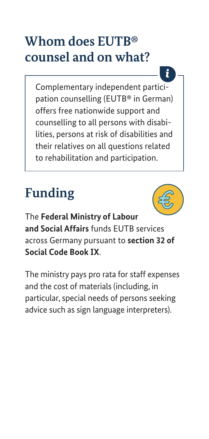### **Whom does EUTB® counsel and on what?**

Complementary independent participation counselling (EUTB® in German) offers free nationwide support and counselling to all persons with disabilities, persons at risk of disabilities and their relatives on all questions related to rehabilitation and participation.

# **Funding**



i

The **Federal Ministry of Labour and Social Affairs** funds EUTB services across Germany pursuant to **section 32 of Social Code Book IX**.

The ministry pays pro rata for staff expenses and the cost of materials (including, in particular, special needs of persons seeking advice such as sign language interpreters).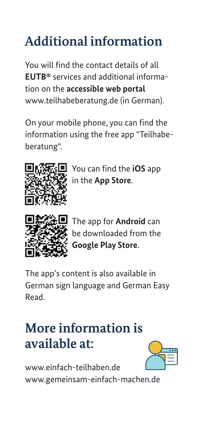# **Additional information**

You will find the contact details of all **EUTB®** services and additional information on the **accessible web portal** [www.teilhabeberatung.de](https://www.teilhabeberatung.de/) (in German).

On your mobile phone, you can find the information using the free app "Teilhabeberatung".



You can find the **iOS** app in the **App Store**.



The app for **Android** can be downloaded from the **Google Play Store**.

The app's content is also available in German sign language and German Easy Read.

### **More information is available at:**



[www.einfach-teilhaben.de](https://www.einfach-teilhaben.de/) [www.gemeinsam-einfach-machen.de](https://www.gemeinsam-einfach-machen.de/)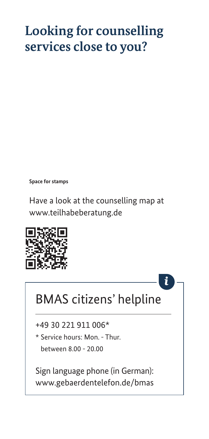### **Looking for counselling services close to you?**

**Space for stamps**

Have a look at the counselling map at [www.teilhabeberatung.de](https://www.teilhabeberatung.de/)



### BMAS citizens' helpline

+49 30 221 911 006\*

\* Service hours: Mon. - Thur. between 8.00 - 20.00

Sign language phone (in German): [www.gebaerdentelefon.de/bmas](https://www.gebaerdentelefon.de/bmas/)